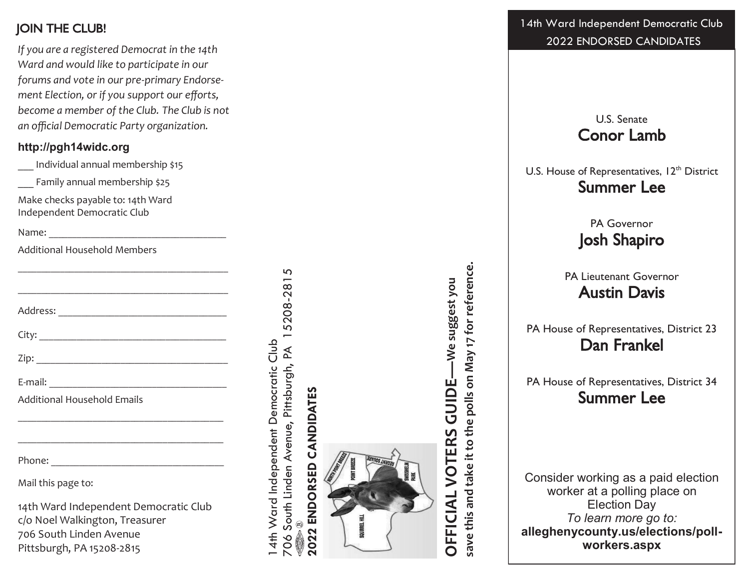*If you are a registered Democrat in the 14th Ward and would like to participate in our forums and vote in our pre -primary Endorsement Election, or if you support our efforts, become a member of the Club. The Club is not an official Democratic Party organization.*

#### **http://pgh14widc.org**

\_\_\_ Individual annual membership \$15

Family annual membership \$25

Make checks payable to: 14th Ward Independent Democratic Club

Name: \_\_\_\_\_\_\_\_\_\_\_\_\_\_\_\_\_\_\_\_\_\_\_\_\_\_\_\_\_\_\_\_\_\_\_\_\_\_

Additional Household Members

| and the control of the control of the control of the control of the control of the control of the control of the |
|------------------------------------------------------------------------------------------------------------------|
| ,我们也不会有什么。""我们的人,我们也不会有什么?""我们的人,我们也不会有什么?""我们的人,我们也不会有什么?""我们的人,我们也不会有什么?""我们的人                                 |
|                                                                                                                  |
|                                                                                                                  |
|                                                                                                                  |
|                                                                                                                  |
| <b>Additional Household Emails</b>                                                                               |
|                                                                                                                  |
|                                                                                                                  |
| Mail this page to:                                                                                               |
| 11th Ward Indonendent Democratic Club                                                                            |

14th Ward Independent Democratic Club c/o Noel Walkington, Treasurer 706 South Linden Avenue Pittsburgh, PA 15208 -2815

15208-2815 706 South Linden Avenue, Pittsburgh, PA 15208-2815 14th Ward Independent Democratic Club 14th Ward Independent Democratic Club 706 South Linden Avenue, Pittsburgh, PA  $\begin{picture}(40,40) \put(0,0){\vector(0,1){10}} \put(15,0){\vector(0,1){10}} \put(15,0){\vector(0,1){10}} \put(15,0){\vector(0,1){10}} \put(15,0){\vector(0,1){10}} \put(15,0){\vector(0,1){10}} \put(15,0){\vector(0,1){10}} \put(15,0){\vector(0,1){10}} \put(15,0){\vector(0,1){10}} \put(15,0){\vector(0,1){10}} \put(15,0){\vector(0,1){10}} \put(15,0){\vector(0$ 

# 2022 ENDORSED CANDIDATES **2022 ENDORSED CANDIDATES**



save this and take it to the polls on May 17 for reference. **save this and take it to the polls on May 17 for reference.OFFICIAL VOTERS GUIDE—We suggest you**  -We suggest you **GUIDE** VOTERS *OFFICIAL* 

**JOIN THE CLUB!** 14th Ward Independent Democratic Club 2022 ENDORSED CANDIDATES

> U.S. Senate Conor Lamb

U.S. House of Representatives, 12<sup>th</sup> District Summer Lee

> PA Governor Josh Shapiro

PA Lieutenant Governor Austin Davis

PA House of Representatives, District 23 Dan Frankel

PA House of Representatives, District 34 Summer Lee

Consider working as a paid election worker at a polling place on Election Day *To learn more go to:* **alleghenycounty.us/elections/poll workers.aspx**